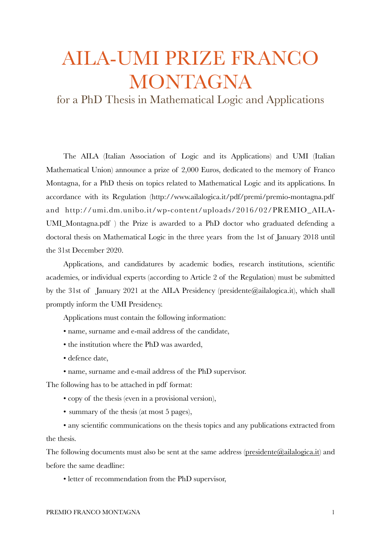## AILA-UMI PRIZE FRANCO MONTAGNA

for a PhD Thesis in Mathematical Logic and Applications

The AILA (Italian Association of Logic and its Applications) and UMI (Italian Mathematical Union) announce a prize of 2,000 Euros, dedicated to the memory of Franco Montagna, for a PhD thesis on topics related to Mathematical Logic and its applications. In accordance with its Regulation (http://www.ailalogica.it/pdf/premi/premio-montagna.pdf and http://umi.dm.unibo.it/wp-content/uploads/2016/02/PREMIO\_AILA-UMI\_Montagna.pdf ) the Prize is awarded to a PhD doctor who graduated defending a doctoral thesis on Mathematical Logic in the three years from the 1st of January 2018 until the 31st December 2020.

Applications, and candidatures by academic bodies, research institutions, scientific academies, or individual experts (according to Article 2 of the Regulation) must be submitted by the 31st of January 2021 at the AILA Presidency (presidente@ailalogica.it), which shall promptly inform the UMI Presidency.

Applications must contain the following information:

- name, surname and e-mail address of the candidate,
- the institution where the PhD was awarded,
- defence date,
- name, surname and e-mail address of the PhD supervisor.

The following has to be attached in pdf format:

- copy of the thesis (even in a provisional version),
- summary of the thesis (at most 5 pages),

• any scientific communications on the thesis topics and any publications extracted from the thesis.

The following documents must also be sent at the same address [\(presidente@ailalogica.it\)](mailto:presidente@ailalogica.it) and before the same deadline:

• letter of recommendation from the PhD supervisor,